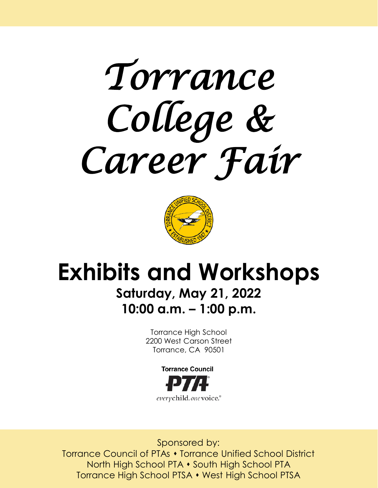



# **Exhibits and Workshops**

## **Saturday, May 21, 2022 10:00 a.m. – 1:00 p.m.**

Torrance High School 2200 West Carson Street Torrance, CA 90501



Sponsored by: Torrance Council of PTAs  $\bullet$  Torrance Unified School District North High School PTA • South High School PTA Torrance High School PTSA • West High School PTSA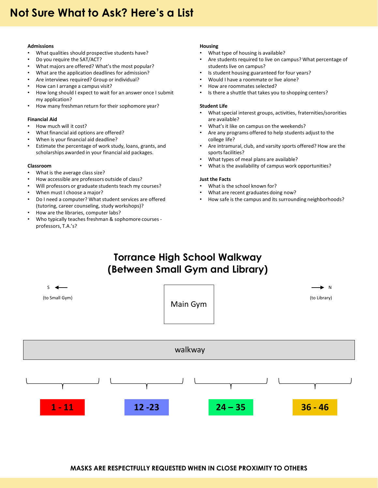#### **Admissions**

- What qualities should prospective students have?
- Do you require the SAT/ACT?
- What majors are offered? What's the most popular?
- What are the application deadlines for admission?
- Are interviews required? Group or individual?
- How can I arrange a campus visit?
- How long should I expect to wait for an answer once I submit my application?
- How many freshman return for their sophomore year?

#### **Financial Aid**

- How much will it cost?
- What financial aid options are offered?
- When is your financial aid deadline?
- Estimate the percentage of work study, loans, grants, and scholarships awarded in your financial aid packages.

#### **Classroom**

- What is the average class size?
- How accessible are professors outside of class?
- Will professors or graduate students teach my courses?
- When must I choose a major?
- Do I need a computer? What student services are offered (tutoring, career counseling, study workshops)?
- How are the libraries, computer labs?
- Who typically teaches freshman & sophomore courses professors, T.A.'s?

#### **Housing**

- What type of housing is available?
- Are students required to live on campus? What percentage of students live on campus?
- Is student housing guaranteed for four years?
- Would I have a roommate or live alone?
- How are roommates selected?
- Is there a shuttle that takes you to shopping centers?

#### **Student Life**

- What special interest groups, activities, fraternities/sororities are available?
- What's it like on campus on the weekends?
- Are any programs offered to help students adjust to the college life?
- Are intramural, club, and varsity sports offered? How are the sports facilities?
- What types of meal plans are available?
- What is the availability of campus work opportunities?

#### **Just the Facts**

- What is the school known for?
- What are recent graduates doing now?
- How safe is the campus and its surrounding neighborhoods?

### **Torrance High School Walkway (Between Small Gym and Library)**

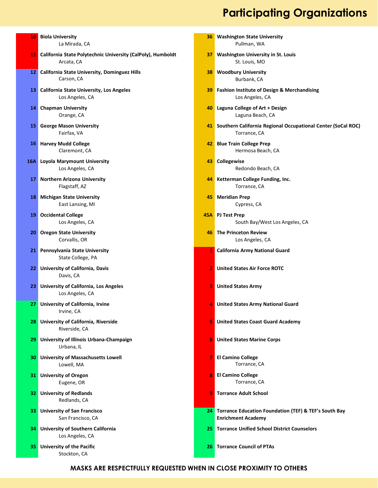### **Participating Organizations**

|                 | <b>10</b> Biola University<br>La Mirada, CA                                  | 36.            | <b>Washington State University</b><br>Pullman, WA                                     |
|-----------------|------------------------------------------------------------------------------|----------------|---------------------------------------------------------------------------------------|
|                 | 11 California State Polytechnic University (CalPoly), Humboldt<br>Arcata, CA | 37             | <b>Washington University in St. Louis</b><br>St. Louis, MO                            |
|                 | 12 California State University, Dominguez Hills<br>Carson, CA                | 38             | <b>Woodbury University</b><br>Burbank, CA                                             |
| 13              | California State University, Los Angeles<br>Los Angeles, CA                  | 39             | <b>Fashion Institute of Design &amp; Merchandising</b><br>Los Angeles, CA             |
|                 | 14 Chapman University<br>Orange, CA                                          |                | 40 Laguna College of Art + Design<br>Laguna Beach, CA                                 |
| 15              | <b>George Mason University</b><br>Fairfax, VA                                |                | 41 Southern California Regional Occupational Center (SoCal ROC)<br>Torrance, CA       |
|                 | <b>16 Harvey Mudd College</b><br>Claremont, CA                               |                | 42 Blue Train College Prep<br>Hermosa Beach, CA                                       |
| 16A I           | <b>Loyola Marymount University</b><br>Los Angeles, CA                        | 43             | Collegewise<br>Redondo Beach, CA                                                      |
|                 | 17 Northern Arizona University<br>Flagstaff, AZ                              |                | 44 Ketterman College Funding, Inc.<br>Torrance, CA                                    |
|                 | <b>18</b> Michigan State University<br>East Lansing, MI                      | 45.            | <b>Meridian Prep</b><br>Cypress, CA                                                   |
|                 | 19 Occidental College<br>Los Angeles, CA                                     |                | 45A PJ Test Prep<br>South Bay/West Los Angeles, CA                                    |
|                 | 20 Oregon State University<br>Corvallis, OR                                  |                | <b>46</b> The Princeton Review<br>Los Angeles, CA                                     |
| 21 <sub>1</sub> | Pennsylvania State University<br>State College, PA                           |                | 1 California Army National Guard                                                      |
| 22              | <b>University of California, Davis</b><br>Davis, CA                          | $\overline{2}$ | <b>United States Air Force ROTC</b>                                                   |
| 23              | <b>University of California, Los Angeles</b><br>Los Angeles, CA              | 3              | <b>United States Army</b>                                                             |
|                 | 27 University of California, Irvine<br>Irvine, CA                            | 4              | <b>United States Army National Guard</b>                                              |
|                 | 28 University of California, Riverside<br>Riverside, CA                      |                | <b>5</b> United States Coast Guard Academy                                            |
|                 | 29 University of Illinois Urbana-Champaign<br>Urbana, IL                     |                | <b>6</b> United States Marine Corps                                                   |
|                 | <b>30 University of Massachusetts Lowell</b><br>Lowell, MA                   | 7.             | <b>El Camino College</b><br>Torrance, CA                                              |
|                 | 31 University of Oregon<br>Eugene, OR                                        |                | <b>8</b> El Camino College<br>Torrance, CA                                            |
|                 | <b>32</b> University of Redlands<br>Redlands, CA                             |                | <b>9</b> Torrance Adult School                                                        |
|                 | <b>33</b> University of San Francisco<br>San Francisco, CA                   |                | 24 Torrance Education Foundation (TEF) & TEF's South Bay<br><b>Enrichment Academy</b> |
|                 | <b>34</b> University of Southern California<br>Los Angeles, CA               |                | 25 Torrance Unified School District Counselors                                        |
|                 | <b>35</b> University of the Pacific<br>Stockton, CA                          |                | <b>26 Torrance Council of PTAs</b>                                                    |

**MASKS ARE RESPECTFULLY REQUESTED WHEN IN CLOSE PROXIMITY TO OTHERS**